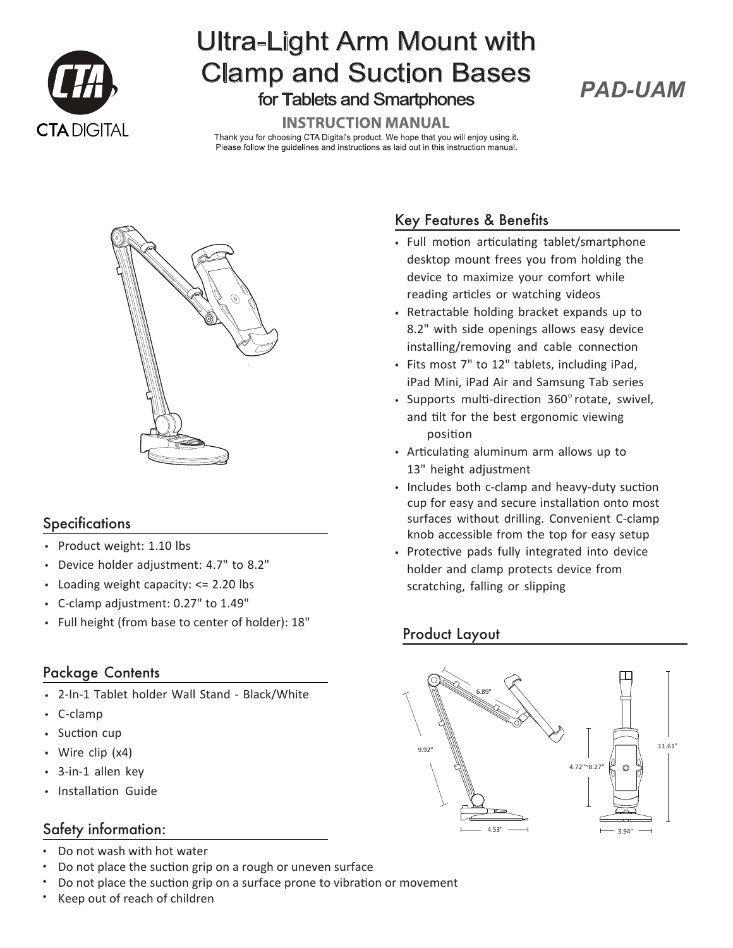

# Ultra-Light Arm Mount with Clamp and Suction Bases for Tablets and Smartphones

## *PAD-UAM*

#### **INSTRUCTION MANUAL**

Thank you for choosing CTA Digital's product. We hope that you will enjoy using it. Please follow the guidelines and instructions as laid out in this instruction manual.



#### **Specifications**

- Product weight: 1.10 lbs
- Device holder adjustment: 4.7" to 8.2"
- Loading weight capacity: <= 2.20 lbs
- C-clamp adjustment: 0.27" to 1.49"
- Full height (from base to center of holder): 18"

#### Package Contents

- 2-In-1 Tablet holder Wall Stand Black/White
- C-clamp
- Suction cup
- Wire clip (x4)
- 3-in-1 allen key
- Installation Guide

#### Safety information:

- Do not wash with hot water •
- Do not place the suction grip on a rough or uneven surface •
- Do not place the suction grip on a surface prone to vibration or movement •
- Keep out of reach of children •

### Key Features & Benefits

- Full motion articulating tablet/smartphone desktop mount frees you from holding the device to maximize your comfort while reading articles or watching videos
- Retractable holding bracket expands up to 8.2" with side openings allows easy device installing/removing and cable connection
- Fits most 7" to 12" tablets, including iPad, iPad Mini, iPad Air and Samsung Tab series
- Supports multi-direction 360°rotate, swivel, and tilt for the best ergonomic viewing position
- Articulating aluminum arm allows up to 13" height adjustment
- Includes both c-clamp and heavy-duty suction cup for easy and secure installation onto most surfaces without drilling. Convenient C-clamp knob accessible from the top for easy setup
- Protective pads fully integrated into device holder and clamp protects device from scratching, falling or slipping

#### Product Layout